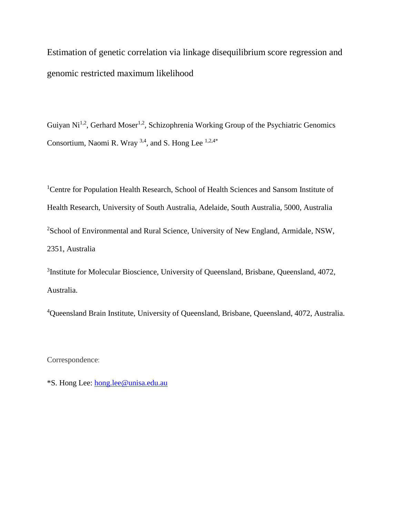Estimation of genetic correlation via linkage disequilibrium score regression and genomic restricted maximum likelihood

Guiyan Ni<sup>1,2</sup>, Gerhard Moser<sup>1,2</sup>, Schizophrenia Working Group of the Psychiatric Genomics Consortium, Naomi R. Wray  $3,4$ , and S. Hong Lee  $1,2,4$ <sup>\*</sup>

<sup>1</sup>Centre for Population Health Research, School of Health Sciences and Sansom Institute of Health Research, University of South Australia, Adelaide, South Australia, 5000, Australia <sup>2</sup>School of Environmental and Rural Science, University of New England, Armidale, NSW, 2351, Australia

<sup>3</sup>Institute for Molecular Bioscience, University of Queensland, Brisbane, Queensland, 4072, Australia.

<sup>4</sup>Queensland Brain Institute, University of Queensland, Brisbane, Queensland, 4072, Australia.

Correspondence:

\*S. Hong Lee: [hong.lee@unisa.edu.au](mailto:hong.lee@unisa.edu.au)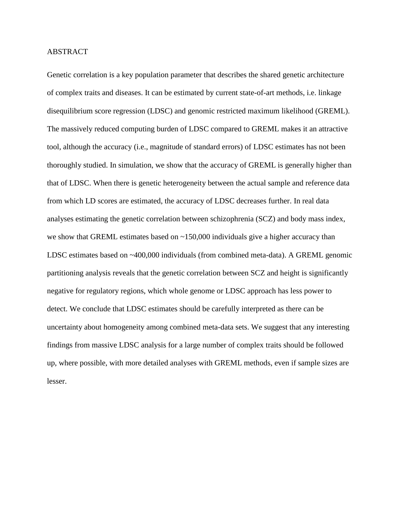#### ABSTRACT

Genetic correlation is a key population parameter that describes the shared genetic architecture of complex traits and diseases. It can be estimated by current state-of-art methods, i.e. linkage disequilibrium score regression (LDSC) and genomic restricted maximum likelihood (GREML). The massively reduced computing burden of LDSC compared to GREML makes it an attractive tool, although the accuracy (i.e., magnitude of standard errors) of LDSC estimates has not been thoroughly studied. In simulation, we show that the accuracy of GREML is generally higher than that of LDSC. When there is genetic heterogeneity between the actual sample and reference data from which LD scores are estimated, the accuracy of LDSC decreases further. In real data analyses estimating the genetic correlation between schizophrenia (SCZ) and body mass index, we show that GREML estimates based on ~150,000 individuals give a higher accuracy than LDSC estimates based on ~400,000 individuals (from combined meta-data). A GREML genomic partitioning analysis reveals that the genetic correlation between SCZ and height is significantly negative for regulatory regions, which whole genome or LDSC approach has less power to detect. We conclude that LDSC estimates should be carefully interpreted as there can be uncertainty about homogeneity among combined meta-data sets. We suggest that any interesting findings from massive LDSC analysis for a large number of complex traits should be followed up, where possible, with more detailed analyses with GREML methods, even if sample sizes are lesser.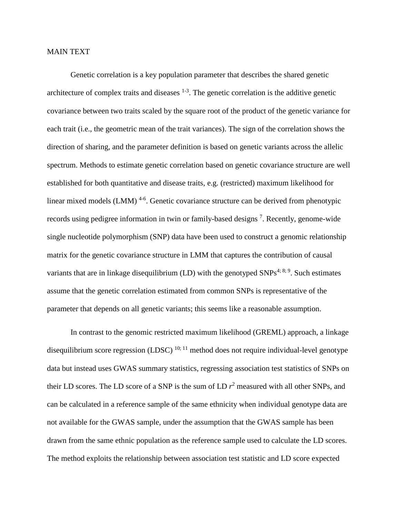#### MAIN TEXT

Genetic correlation is a key population parameter that describes the shared genetic architecture of complex traits and diseases  $1-3$ . The genetic correlation is the additive genetic covariance between two traits scaled by the square root of the product of the genetic variance for each trait (i.e., the geometric mean of the trait variances). The sign of the correlation shows the direction of sharing, and the parameter definition is based on genetic variants across the allelic spectrum. Methods to estimate genetic correlation based on genetic covariance structure are well established for both quantitative and disease traits, e.g. (restricted) maximum likelihood for linear mixed models (LMM)<sup>4-6</sup>. Genetic covariance structure can be derived from phenotypic records using pedigree information in twin or family-based designs<sup>7</sup>. Recently, genome-wide single nucleotide polymorphism (SNP) data have been used to construct a genomic relationship matrix for the genetic covariance structure in LMM that captures the contribution of causal variants that are in linkage disequilibrium (LD) with the genotyped  $SNPs^{4; 8; 9}$ . Such estimates assume that the genetic correlation estimated from common SNPs is representative of the parameter that depends on all genetic variants; this seems like a reasonable assumption.

In contrast to the genomic restricted maximum likelihood (GREML) approach, a linkage disequilibrium score regression (LDSC)  $^{10; 11}$  method does not require individual-level genotype data but instead uses GWAS summary statistics, regressing association test statistics of SNPs on their LD scores. The LD score of a SNP is the sum of LD  $r<sup>2</sup>$  measured with all other SNPs, and can be calculated in a reference sample of the same ethnicity when individual genotype data are not available for the GWAS sample, under the assumption that the GWAS sample has been drawn from the same ethnic population as the reference sample used to calculate the LD scores. The method exploits the relationship between association test statistic and LD score expected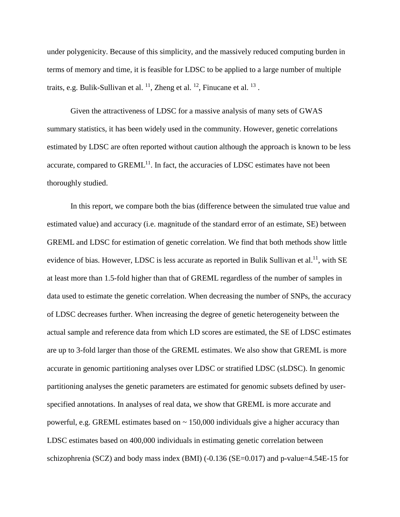under polygenicity. Because of this simplicity, and the massively reduced computing burden in terms of memory and time, it is feasible for LDSC to be applied to a large number of multiple traits, e.g. Bulik-Sullivan et al.  $^{11}$ , Zheng et al.  $^{12}$ , Finucane et al.  $^{13}$ .

Given the attractiveness of LDSC for a massive analysis of many sets of GWAS summary statistics, it has been widely used in the community. However, genetic correlations estimated by LDSC are often reported without caution although the approach is known to be less accurate, compared to  $GREML^{11}$ . In fact, the accuracies of LDSC estimates have not been thoroughly studied.

In this report, we compare both the bias (difference between the simulated true value and estimated value) and accuracy (i.e. magnitude of the standard error of an estimate, SE) between GREML and LDSC for estimation of genetic correlation. We find that both methods show little evidence of bias. However, LDSC is less accurate as reported in Bulik Sullivan et al.<sup>11</sup>, with SE at least more than 1.5-fold higher than that of GREML regardless of the number of samples in data used to estimate the genetic correlation. When decreasing the number of SNPs, the accuracy of LDSC decreases further. When increasing the degree of genetic heterogeneity between the actual sample and reference data from which LD scores are estimated, the SE of LDSC estimates are up to 3-fold larger than those of the GREML estimates. We also show that GREML is more accurate in genomic partitioning analyses over LDSC or stratified LDSC (sLDSC). In genomic partitioning analyses the genetic parameters are estimated for genomic subsets defined by userspecified annotations. In analyses of real data, we show that GREML is more accurate and powerful, e.g. GREML estimates based on  $\sim 150,000$  individuals give a higher accuracy than LDSC estimates based on 400,000 individuals in estimating genetic correlation between schizophrenia (SCZ) and body mass index (BMI) (-0.136 (SE=0.017) and p-value=4.54E-15 for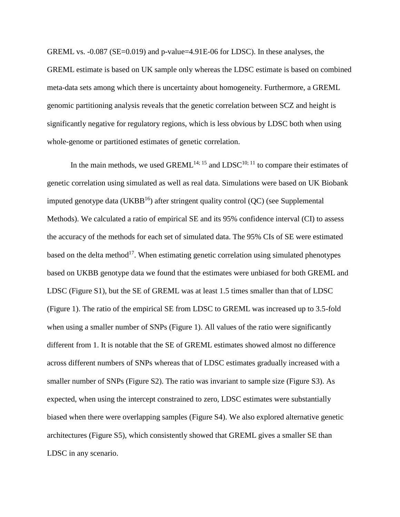GREML vs. -0.087 (SE=0.019) and p-value=4.91E-06 for LDSC). In these analyses, the GREML estimate is based on UK sample only whereas the LDSC estimate is based on combined meta-data sets among which there is uncertainty about homogeneity. Furthermore, a GREML genomic partitioning analysis reveals that the genetic correlation between SCZ and height is significantly negative for regulatory regions, which is less obvious by LDSC both when using whole-genome or partitioned estimates of genetic correlation.

In the main methods, we used GREML<sup>14; 15</sup> and LDSC<sup>10; 11</sup> to compare their estimates of genetic correlation using simulated as well as real data. Simulations were based on UK Biobank imputed genotype data (UKBB $<sup>16</sup>$ ) after stringent quality control (QC) (see Supplemental</sup> Methods). We calculated a ratio of empirical SE and its 95% confidence interval (CI) to assess the accuracy of the methods for each set of simulated data. The 95% CIs of SE were estimated based on the delta method<sup>17</sup>. When estimating genetic correlation using simulated phenotypes based on UKBB genotype data we found that the estimates were unbiased for both GREML and LDSC (Figure S1), but the SE of GREML was at least 1.5 times smaller than that of LDSC (Figure 1). The ratio of the empirical SE from LDSC to GREML was increased up to 3.5-fold when using a smaller number of SNPs (Figure 1). All values of the ratio were significantly different from 1. It is notable that the SE of GREML estimates showed almost no difference across different numbers of SNPs whereas that of LDSC estimates gradually increased with a smaller number of SNPs (Figure S2). The ratio was invariant to sample size (Figure S3). As expected, when using the intercept constrained to zero, LDSC estimates were substantially biased when there were overlapping samples (Figure S4). We also explored alternative genetic architectures (Figure S5), which consistently showed that GREML gives a smaller SE than LDSC in any scenario.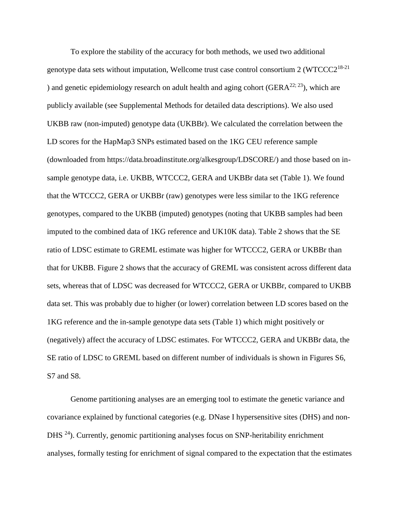To explore the stability of the accuracy for both methods, we used two additional genotype data sets without imputation, Wellcome trust case control consortium 2 (WTCCC2<sup>18-21</sup>) ) and genetic epidemiology research on adult health and aging cohort (GERA<sup>22; 23</sup>), which are publicly available (see Supplemental Methods for detailed data descriptions). We also used UKBB raw (non-imputed) genotype data (UKBBr). We calculated the correlation between the LD scores for the HapMap3 SNPs estimated based on the 1KG CEU reference sample (downloaded from https://data.broadinstitute.org/alkesgroup/LDSCORE/) and those based on insample genotype data, i.e. UKBB, WTCCC2, GERA and UKBBr data set (Table 1). We found that the WTCCC2, GERA or UKBBr (raw) genotypes were less similar to the 1KG reference genotypes, compared to the UKBB (imputed) genotypes (noting that UKBB samples had been imputed to the combined data of 1KG reference and UK10K data). Table 2 shows that the SE ratio of LDSC estimate to GREML estimate was higher for WTCCC2, GERA or UKBBr than that for UKBB. Figure 2 shows that the accuracy of GREML was consistent across different data sets, whereas that of LDSC was decreased for WTCCC2, GERA or UKBBr, compared to UKBB data set. This was probably due to higher (or lower) correlation between LD scores based on the 1KG reference and the in-sample genotype data sets (Table 1) which might positively or (negatively) affect the accuracy of LDSC estimates. For WTCCC2, GERA and UKBBr data, the SE ratio of LDSC to GREML based on different number of individuals is shown in Figures S6, S7 and S8.

Genome partitioning analyses are an emerging tool to estimate the genetic variance and covariance explained by functional categories (e.g. DNase I hypersensitive sites (DHS) and non-DHS <sup>24</sup>). Currently, genomic partitioning analyses focus on SNP-heritability enrichment analyses, formally testing for enrichment of signal compared to the expectation that the estimates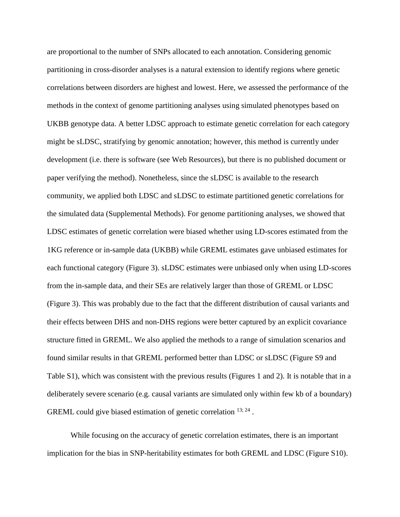are proportional to the number of SNPs allocated to each annotation. Considering genomic partitioning in cross-disorder analyses is a natural extension to identify regions where genetic correlations between disorders are highest and lowest. Here, we assessed the performance of the methods in the context of genome partitioning analyses using simulated phenotypes based on UKBB genotype data. A better LDSC approach to estimate genetic correlation for each category might be sLDSC, stratifying by genomic annotation; however, this method is currently under development (i.e. there is software (see Web Resources), but there is no published document or paper verifying the method). Nonetheless, since the sLDSC is available to the research community, we applied both LDSC and sLDSC to estimate partitioned genetic correlations for the simulated data (Supplemental Methods). For genome partitioning analyses, we showed that LDSC estimates of genetic correlation were biased whether using LD-scores estimated from the 1KG reference or in-sample data (UKBB) while GREML estimates gave unbiased estimates for each functional category (Figure 3). sLDSC estimates were unbiased only when using LD-scores from the in-sample data, and their SEs are relatively larger than those of GREML or LDSC (Figure 3). This was probably due to the fact that the different distribution of causal variants and their effects between DHS and non-DHS regions were better captured by an explicit covariance structure fitted in GREML. We also applied the methods to a range of simulation scenarios and found similar results in that GREML performed better than LDSC or sLDSC (Figure S9 and Table S1), which was consistent with the previous results (Figures 1 and 2). It is notable that in a deliberately severe scenario (e.g. causal variants are simulated only within few kb of a boundary) GREML could give biased estimation of genetic correlation  $^{13; 24}$ .

While focusing on the accuracy of genetic correlation estimates, there is an important implication for the bias in SNP-heritability estimates for both GREML and LDSC (Figure S10).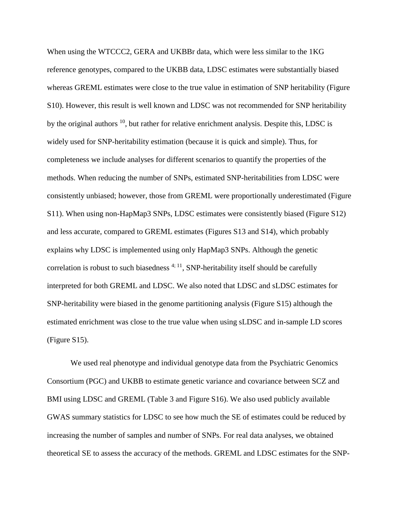When using the WTCCC2, GERA and UKBBr data, which were less similar to the 1KG reference genotypes, compared to the UKBB data, LDSC estimates were substantially biased whereas GREML estimates were close to the true value in estimation of SNP heritability (Figure S10). However, this result is well known and LDSC was not recommended for SNP heritability by the original authors  $^{10}$ , but rather for relative enrichment analysis. Despite this, LDSC is widely used for SNP-heritability estimation (because it is quick and simple). Thus, for completeness we include analyses for different scenarios to quantify the properties of the methods. When reducing the number of SNPs, estimated SNP-heritabilities from LDSC were consistently unbiased; however, those from GREML were proportionally underestimated (Figure S11). When using non-HapMap3 SNPs, LDSC estimates were consistently biased (Figure S12) and less accurate, compared to GREML estimates (Figures S13 and S14), which probably explains why LDSC is implemented using only HapMap3 SNPs. Although the genetic correlation is robust to such biasedness  $4$ ;  $11$ , SNP-heritability itself should be carefully interpreted for both GREML and LDSC. We also noted that LDSC and sLDSC estimates for SNP-heritability were biased in the genome partitioning analysis (Figure S15) although the estimated enrichment was close to the true value when using sLDSC and in-sample LD scores (Figure S15).

We used real phenotype and individual genotype data from the Psychiatric Genomics Consortium (PGC) and UKBB to estimate genetic variance and covariance between SCZ and BMI using LDSC and GREML (Table 3 and Figure S16). We also used publicly available GWAS summary statistics for LDSC to see how much the SE of estimates could be reduced by increasing the number of samples and number of SNPs. For real data analyses, we obtained theoretical SE to assess the accuracy of the methods. GREML and LDSC estimates for the SNP-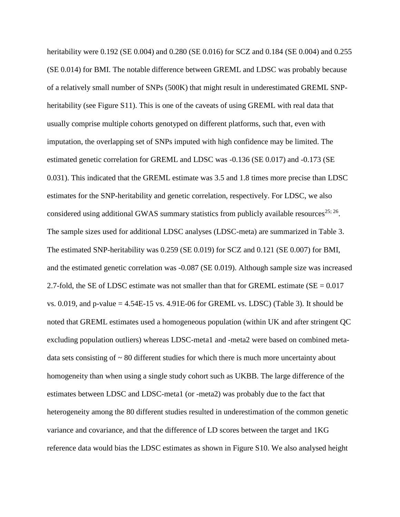heritability were 0.192 (SE 0.004) and 0.280 (SE 0.016) for SCZ and 0.184 (SE 0.004) and 0.255 (SE 0.014) for BMI. The notable difference between GREML and LDSC was probably because of a relatively small number of SNPs (500K) that might result in underestimated GREML SNPheritability (see Figure S11). This is one of the caveats of using GREML with real data that usually comprise multiple cohorts genotyped on different platforms, such that, even with imputation, the overlapping set of SNPs imputed with high confidence may be limited. The estimated genetic correlation for GREML and LDSC was -0.136 (SE 0.017) and -0.173 (SE 0.031). This indicated that the GREML estimate was 3.5 and 1.8 times more precise than LDSC estimates for the SNP-heritability and genetic correlation, respectively. For LDSC, we also considered using additional GWAS summary statistics from publicly available resources<sup>25; 26</sup>. The sample sizes used for additional LDSC analyses (LDSC-meta) are summarized in Table 3. The estimated SNP-heritability was 0.259 (SE 0.019) for SCZ and 0.121 (SE 0.007) for BMI, and the estimated genetic correlation was -0.087 (SE 0.019). Although sample size was increased 2.7-fold, the SE of LDSC estimate was not smaller than that for GREML estimate ( $SE = 0.017$ ) vs. 0.019, and p-value  $= 4.54E-15$  vs. 4.91E-06 for GREML vs. LDSC) (Table 3). It should be noted that GREML estimates used a homogeneous population (within UK and after stringent QC excluding population outliers) whereas LDSC-meta1 and -meta2 were based on combined metadata sets consisting of  $\sim 80$  different studies for which there is much more uncertainty about homogeneity than when using a single study cohort such as UKBB. The large difference of the estimates between LDSC and LDSC-meta1 (or -meta2) was probably due to the fact that heterogeneity among the 80 different studies resulted in underestimation of the common genetic variance and covariance, and that the difference of LD scores between the target and 1KG reference data would bias the LDSC estimates as shown in Figure S10. We also analysed height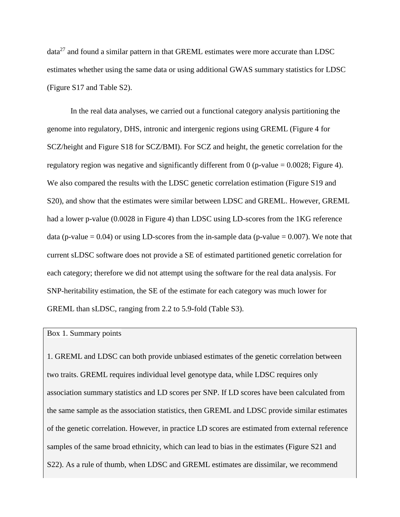$data<sup>27</sup>$  and found a similar pattern in that GREML estimates were more accurate than LDSC estimates whether using the same data or using additional GWAS summary statistics for LDSC (Figure S17 and Table S2).

In the real data analyses, we carried out a functional category analysis partitioning the genome into regulatory, DHS, intronic and intergenic regions using GREML (Figure 4 for SCZ/height and Figure S18 for SCZ/BMI). For SCZ and height, the genetic correlation for the regulatory region was negative and significantly different from 0 (p-value  $= 0.0028$ ; Figure 4). We also compared the results with the LDSC genetic correlation estimation (Figure S19 and S20), and show that the estimates were similar between LDSC and GREML. However, GREML had a lower p-value (0.0028 in Figure 4) than LDSC using LD-scores from the 1KG reference data (p-value  $= 0.04$ ) or using LD-scores from the in-sample data (p-value  $= 0.007$ ). We note that current sLDSC software does not provide a SE of estimated partitioned genetic correlation for each category; therefore we did not attempt using the software for the real data analysis. For SNP-heritability estimation, the SE of the estimate for each category was much lower for GREML than sLDSC, ranging from 2.2 to 5.9-fold (Table S3).

#### Box 1. Summary points

1. GREML and LDSC can both provide unbiased estimates of the genetic correlation between two traits. GREML requires individual level genotype data, while LDSC requires only association summary statistics and LD scores per SNP. If LD scores have been calculated from the same sample as the association statistics, then GREML and LDSC provide similar estimates of the genetic correlation. However, in practice LD scores are estimated from external reference samples of the same broad ethnicity, which can lead to bias in the estimates (Figure S21 and S22). As a rule of thumb, when LDSC and GREML estimates are dissimilar, we recommend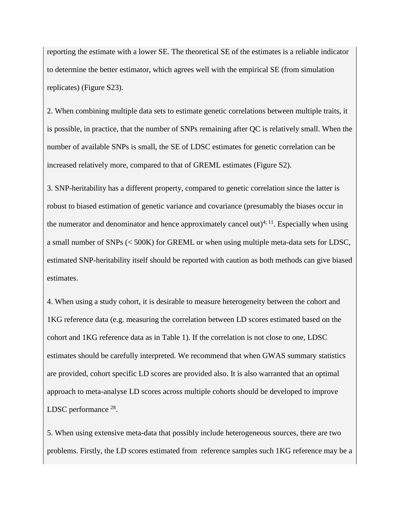reporting the estimate with a lower SE. The theoretical SE of the estimates is a reliable indicator to determine the better estimator, which agrees well with the empirical SE (from simulation replicates) (Figure S23).

2. When combining multiple data sets to estimate genetic correlations between multiple traits, it is possible, in practice, that the number of SNPs remaining after QC is relatively small. When the number of available SNPs is small, the SE of LDSC estimates for genetic correlation can be increased relatively more, compared to that of GREML estimates (Figure S2).

3. SNP-heritability has a different property, compared to genetic correlation since the latter is robust to biased estimation of genetic variance and covariance (presumably the biases occur in the numerator and denominator and hence approximately cancel out)<sup>4; 11</sup>. Especially when using a small number of SNPs (< 500K) for GREML or when using multiple meta-data sets for LDSC, estimated SNP-heritability itself should be reported with caution as both methods can give biased estimates.

4. When using a study cohort, it is desirable to measure heterogeneity between the cohort and 1KG reference data (e.g. measuring the correlation between LD scores estimated based on the cohort and 1KG reference data as in Table 1). If the correlation is not close to one, LDSC estimates should be carefully interpreted. We recommend that when GWAS summary statistics are provided, cohort specific LD scores are provided also. It is also warranted that an optimal approach to meta-analyse LD scores across multiple cohorts should be developed to improve LDSC performance <sup>28</sup>.

5. When using extensive meta-data that possibly include heterogeneous sources, there are two problems. Firstly, the LD scores estimated from reference samples such 1KG reference may be a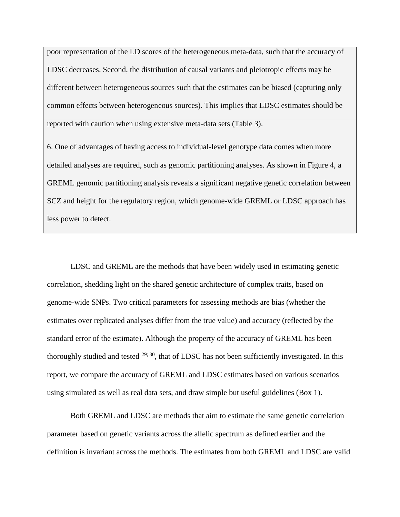poor representation of the LD scores of the heterogeneous meta-data, such that the accuracy of LDSC decreases. Second, the distribution of causal variants and pleiotropic effects may be different between heterogeneous sources such that the estimates can be biased (capturing only common effects between heterogeneous sources). This implies that LDSC estimates should be reported with caution when using extensive meta-data sets (Table 3).

6. One of advantages of having access to individual-level genotype data comes when more detailed analyses are required, such as genomic partitioning analyses. As shown in Figure 4, a GREML genomic partitioning analysis reveals a significant negative genetic correlation between SCZ and height for the regulatory region, which genome-wide GREML or LDSC approach has less power to detect.

LDSC and GREML are the methods that have been widely used in estimating genetic correlation, shedding light on the shared genetic architecture of complex traits, based on genome-wide SNPs. Two critical parameters for assessing methods are bias (whether the estimates over replicated analyses differ from the true value) and accuracy (reflected by the standard error of the estimate). Although the property of the accuracy of GREML has been thoroughly studied and tested <sup>29; 30</sup>, that of LDSC has not been sufficiently investigated. In this report, we compare the accuracy of GREML and LDSC estimates based on various scenarios using simulated as well as real data sets, and draw simple but useful guidelines (Box 1).

Both GREML and LDSC are methods that aim to estimate the same genetic correlation parameter based on genetic variants across the allelic spectrum as defined earlier and the definition is invariant across the methods. The estimates from both GREML and LDSC are valid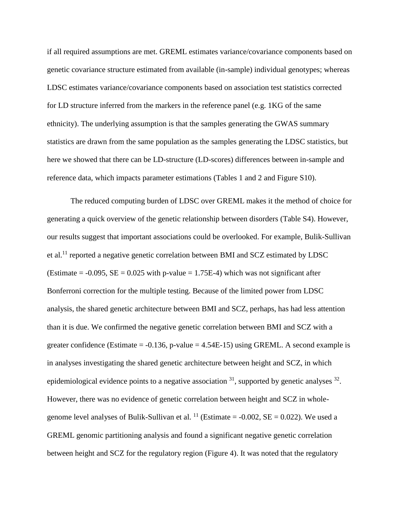if all required assumptions are met. GREML estimates variance/covariance components based on genetic covariance structure estimated from available (in-sample) individual genotypes; whereas LDSC estimates variance/covariance components based on association test statistics corrected for LD structure inferred from the markers in the reference panel (e.g. 1KG of the same ethnicity). The underlying assumption is that the samples generating the GWAS summary statistics are drawn from the same population as the samples generating the LDSC statistics, but here we showed that there can be LD-structure (LD-scores) differences between in-sample and reference data, which impacts parameter estimations (Tables 1 and 2 and Figure S10).

The reduced computing burden of LDSC over GREML makes it the method of choice for generating a quick overview of the genetic relationship between disorders (Table S4). However, our results suggest that important associations could be overlooked. For example, Bulik-Sullivan et al.<sup>11</sup> reported a negative genetic correlation between BMI and SCZ estimated by LDSC (Estimate =  $-0.095$ , SE = 0.025 with p-value = 1.75E-4) which was not significant after Bonferroni correction for the multiple testing. Because of the limited power from LDSC analysis, the shared genetic architecture between BMI and SCZ, perhaps, has had less attention than it is due. We confirmed the negative genetic correlation between BMI and SCZ with a greater confidence (Estimate =  $-0.136$ , p-value =  $4.54E-15$ ) using GREML. A second example is in analyses investigating the shared genetic architecture between height and SCZ, in which epidemiological evidence points to a negative association  $31$ , supported by genetic analyses  $32$ . However, there was no evidence of genetic correlation between height and SCZ in wholegenome level analyses of Bulik-Sullivan et al.  $^{11}$  (Estimate = -0.002, SE = 0.022). We used a GREML genomic partitioning analysis and found a significant negative genetic correlation between height and SCZ for the regulatory region (Figure 4). It was noted that the regulatory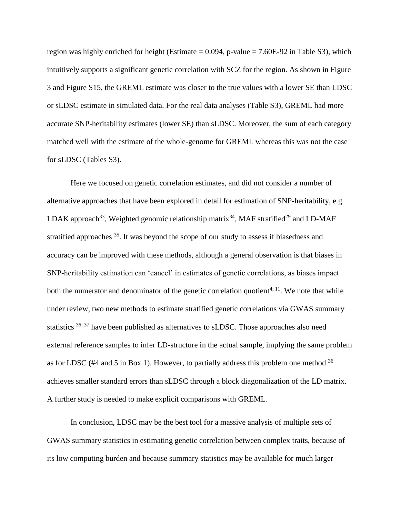region was highly enriched for height (Estimate  $= 0.094$ , p-value  $= 7.60E-92$  in Table S3), which intuitively supports a significant genetic correlation with SCZ for the region. As shown in Figure 3 and Figure S15, the GREML estimate was closer to the true values with a lower SE than LDSC or sLDSC estimate in simulated data. For the real data analyses (Table S3), GREML had more accurate SNP-heritability estimates (lower SE) than sLDSC. Moreover, the sum of each category matched well with the estimate of the whole-genome for GREML whereas this was not the case for sLDSC (Tables S3).

Here we focused on genetic correlation estimates, and did not consider a number of alternative approaches that have been explored in detail for estimation of SNP-heritability, e.g. LDAK approach<sup>33</sup>, Weighted genomic relationship matrix<sup>34</sup>, MAF stratified<sup>29</sup> and LD-MAF stratified approaches <sup>35</sup>. It was beyond the scope of our study to assess if biasedness and accuracy can be improved with these methods, although a general observation is that biases in SNP-heritability estimation can 'cancel' in estimates of genetic correlations, as biases impact both the numerator and denominator of the genetic correlation quotient<sup>4; 11</sup>. We note that while under review, two new methods to estimate stratified genetic correlations via GWAS summary statistics  $36$ ;  $37$  have been published as alternatives to sLDSC. Those approaches also need external reference samples to infer LD-structure in the actual sample, implying the same problem as for LDSC (#4 and 5 in Box 1). However, to partially address this problem one method  $36$ achieves smaller standard errors than sLDSC through a block diagonalization of the LD matrix. A further study is needed to make explicit comparisons with GREML.

In conclusion, LDSC may be the best tool for a massive analysis of multiple sets of GWAS summary statistics in estimating genetic correlation between complex traits, because of its low computing burden and because summary statistics may be available for much larger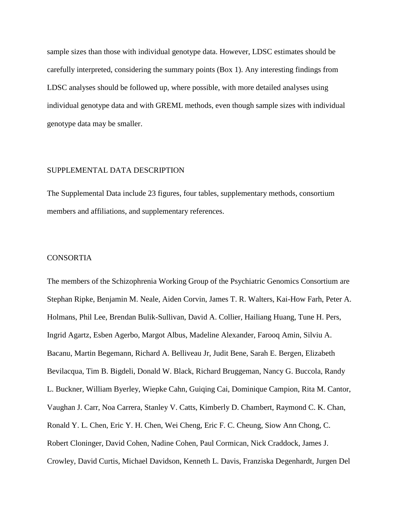sample sizes than those with individual genotype data. However, LDSC estimates should be carefully interpreted, considering the summary points (Box 1). Any interesting findings from LDSC analyses should be followed up, where possible, with more detailed analyses using individual genotype data and with GREML methods, even though sample sizes with individual genotype data may be smaller.

## SUPPLEMENTAL DATA DESCRIPTION

The Supplemental Data include 23 figures, four tables, supplementary methods, consortium members and affiliations, and supplementary references.

#### CONSORTIA

The members of the Schizophrenia Working Group of the Psychiatric Genomics Consortium are Stephan Ripke, Benjamin M. Neale, Aiden Corvin, James T. R. Walters, Kai-How Farh, Peter A. Holmans, Phil Lee, Brendan Bulik-Sullivan, David A. Collier, Hailiang Huang, Tune H. Pers, Ingrid Agartz, Esben Agerbo, Margot Albus, Madeline Alexander, Farooq Amin, Silviu A. Bacanu, Martin Begemann, Richard A. Belliveau Jr, Judit Bene, Sarah E. Bergen, Elizabeth Bevilacqua, Tim B. Bigdeli, Donald W. Black, Richard Bruggeman, Nancy G. Buccola, Randy L. Buckner, William Byerley, Wiepke Cahn, Guiqing Cai, Dominique Campion, Rita M. Cantor, Vaughan J. Carr, Noa Carrera, Stanley V. Catts, Kimberly D. Chambert, Raymond C. K. Chan, Ronald Y. L. Chen, Eric Y. H. Chen, Wei Cheng, Eric F. C. Cheung, Siow Ann Chong, C. Robert Cloninger, David Cohen, Nadine Cohen, Paul Cormican, Nick Craddock, James J. Crowley, David Curtis, Michael Davidson, Kenneth L. Davis, Franziska Degenhardt, Jurgen Del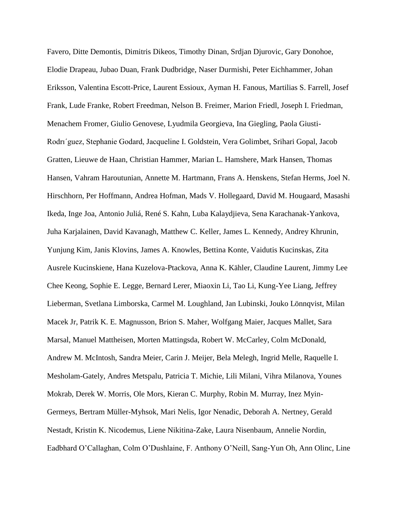Favero, Ditte Demontis, Dimitris Dikeos, Timothy Dinan, Srdjan Djurovic, Gary Donohoe, Elodie Drapeau, Jubao Duan, Frank Dudbridge, Naser Durmishi, Peter Eichhammer, Johan Eriksson, Valentina Escott-Price, Laurent Essioux, Ayman H. Fanous, Martilias S. Farrell, Josef Frank, Lude Franke, Robert Freedman, Nelson B. Freimer, Marion Friedl, Joseph I. Friedman, Menachem Fromer, Giulio Genovese, Lyudmila Georgieva, Ina Giegling, Paola Giusti-Rodrı´guez, Stephanie Godard, Jacqueline I. Goldstein, Vera Golimbet, Srihari Gopal, Jacob Gratten, Lieuwe de Haan, Christian Hammer, Marian L. Hamshere, Mark Hansen, Thomas Hansen, Vahram Haroutunian, Annette M. Hartmann, Frans A. Henskens, Stefan Herms, Joel N. Hirschhorn, Per Hoffmann, Andrea Hofman, Mads V. Hollegaard, David M. Hougaard, Masashi Ikeda, Inge Joa, Antonio Juliá, René S. Kahn, Luba Kalaydjieva, Sena Karachanak-Yankova, Juha Karjalainen, David Kavanagh, Matthew C. Keller, James L. Kennedy, Andrey Khrunin, Yunjung Kim, Janis Klovins, James A. Knowles, Bettina Konte, Vaidutis Kucinskas, Zita Ausrele Kucinskiene, Hana Kuzelova-Ptackova, Anna K. Kähler, Claudine Laurent, Jimmy Lee Chee Keong, Sophie E. Legge, Bernard Lerer, Miaoxin Li, Tao Li, Kung-Yee Liang, Jeffrey Lieberman, Svetlana Limborska, Carmel M. Loughland, Jan Lubinski, Jouko Lönnqvist, Milan Macek Jr, Patrik K. E. Magnusson, Brion S. Maher, Wolfgang Maier, Jacques Mallet, Sara Marsal, Manuel Mattheisen, Morten Mattingsda, Robert W. McCarley, Colm McDonald, Andrew M. McIntosh, Sandra Meier, Carin J. Meijer, Bela Melegh, Ingrid Melle, Raquelle I. Mesholam-Gately, Andres Metspalu, Patricia T. Michie, Lili Milani, Vihra Milanova, Younes Mokrab, Derek W. Morris, Ole Mors, Kieran C. Murphy, Robin M. Murray, Inez Myin-Germeys, Bertram Müller-Myhsok, Mari Nelis, Igor Nenadic, Deborah A. Nertney, Gerald Nestadt, Kristin K. Nicodemus, Liene Nikitina-Zake, Laura Nisenbaum, Annelie Nordin, Eadbhard O'Callaghan, Colm O'Dushlaine, F. Anthony O'Neill, Sang-Yun Oh, Ann Olinc, Line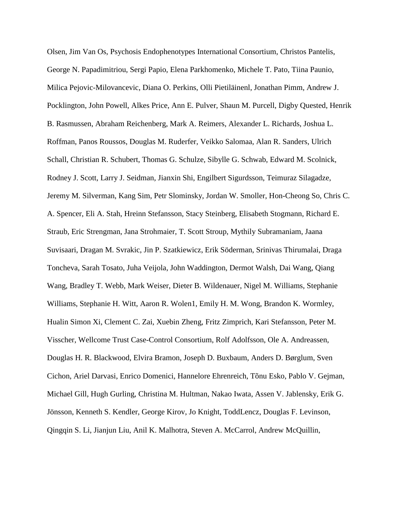Olsen, Jim Van Os, Psychosis Endophenotypes International Consortium, Christos Pantelis, George N. Papadimitriou, Sergi Papio, Elena Parkhomenko, Michele T. Pato, Tiina Paunio, Milica Pejovic-Milovancevic, Diana O. Perkins, Olli Pietiläinenl, Jonathan Pimm, Andrew J. Pocklington, John Powell, Alkes Price, Ann E. Pulver, Shaun M. Purcell, Digby Quested, Henrik B. Rasmussen, Abraham Reichenberg, Mark A. Reimers, Alexander L. Richards, Joshua L. Roffman, Panos Roussos, Douglas M. Ruderfer, Veikko Salomaa, Alan R. Sanders, Ulrich Schall, Christian R. Schubert, Thomas G. Schulze, Sibylle G. Schwab, Edward M. Scolnick, Rodney J. Scott, Larry J. Seidman, Jianxin Shi, Engilbert Sigurdsson, Teimuraz Silagadze, Jeremy M. Silverman, Kang Sim, Petr Slominsky, Jordan W. Smoller, Hon-Cheong So, Chris C. A. Spencer, Eli A. Stah, Hreinn Stefansson, Stacy Steinberg, Elisabeth Stogmann, Richard E. Straub, Eric Strengman, Jana Strohmaier, T. Scott Stroup, Mythily Subramaniam, Jaana Suvisaari, Dragan M. Svrakic, Jin P. Szatkiewicz, Erik Söderman, Srinivas Thirumalai, Draga Toncheva, Sarah Tosato, Juha Veijola, John Waddington, Dermot Walsh, Dai Wang, Qiang Wang, Bradley T. Webb, Mark Weiser, Dieter B. Wildenauer, Nigel M. Williams, Stephanie Williams, Stephanie H. Witt, Aaron R. Wolen1, Emily H. M. Wong, Brandon K. Wormley, Hualin Simon Xi, Clement C. Zai, Xuebin Zheng, Fritz Zimprich, Kari Stefansson, Peter M. Visscher, Wellcome Trust Case-Control Consortium, Rolf Adolfsson, Ole A. Andreassen, Douglas H. R. Blackwood, Elvira Bramon, Joseph D. Buxbaum, Anders D. Børglum, Sven Cichon, Ariel Darvasi, Enrico Domenici, Hannelore Ehrenreich, Tõnu Esko, Pablo V. Gejman, Michael Gill, Hugh Gurling, Christina M. Hultman, Nakao Iwata, Assen V. Jablensky, Erik G. Jönsson, Kenneth S. Kendler, George Kirov, Jo Knight, ToddLencz, Douglas F. Levinson, Qingqin S. Li, Jianjun Liu, Anil K. Malhotra, Steven A. McCarrol, Andrew McQuillin,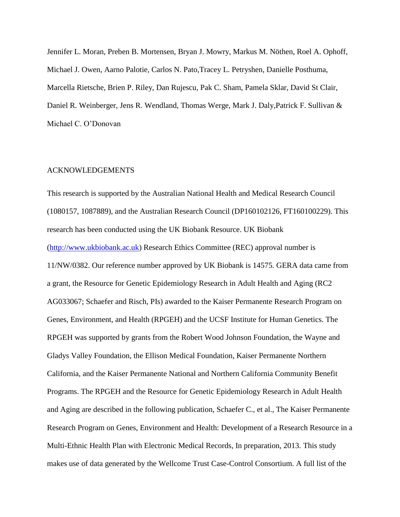Jennifer L. Moran, Preben B. Mortensen, Bryan J. Mowry, Markus M. Nöthen, Roel A. Ophoff, Michael J. Owen, Aarno Palotie, Carlos N. Pato,Tracey L. Petryshen, Danielle Posthuma, Marcella Rietsche, Brien P. Riley, Dan Rujescu, Pak C. Sham, Pamela Sklar, David St Clair, Daniel R. Weinberger, Jens R. Wendland, Thomas Werge, Mark J. Daly,Patrick F. Sullivan & Michael C. O'Donovan

# ACKNOWLEDGEMENTS

This research is supported by the Australian National Health and Medical Research Council (1080157, 1087889), and the Australian Research Council (DP160102126, FT160100229). This research has been conducted using the UK Biobank Resource. UK Biobank [\(http://www.ukbiobank.ac.uk\)](http://www.ukbiobank.ac.uk/) Research Ethics Committee (REC) approval number is 11/NW/0382. Our reference number approved by UK Biobank is 14575. GERA data came from a grant, the Resource for Genetic Epidemiology Research in Adult Health and Aging (RC2 AG033067; Schaefer and Risch, PIs) awarded to the Kaiser Permanente Research Program on Genes, Environment, and Health (RPGEH) and the UCSF Institute for Human Genetics. The RPGEH was supported by grants from the Robert Wood Johnson Foundation, the Wayne and Gladys Valley Foundation, the Ellison Medical Foundation, Kaiser Permanente Northern California, and the Kaiser Permanente National and Northern California Community Benefit Programs. The RPGEH and the Resource for Genetic Epidemiology Research in Adult Health and Aging are described in the following publication, Schaefer C., et al., The Kaiser Permanente Research Program on Genes, Environment and Health: Development of a Research Resource in a Multi-Ethnic Health Plan with Electronic Medical Records, In preparation, 2013. This study makes use of data generated by the Wellcome Trust Case-Control Consortium. A full list of the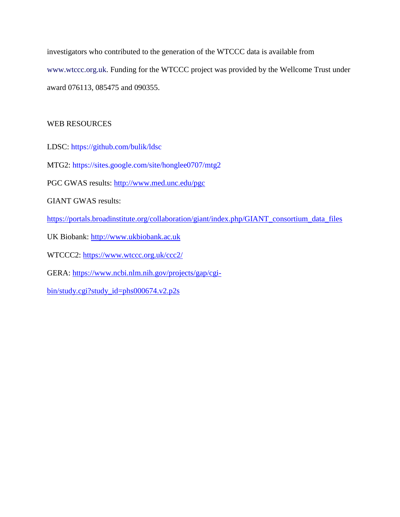investigators who contributed to the generation of the WTCCC data is available from www.wtccc.org.uk. Funding for the WTCCC project was provided by the Wellcome Trust under award 076113, 085475 and 090355.

# WEB RESOURCES

LDSC:<https://github.com/bulik/ldsc>

MTG2:<https://sites.google.com/site/honglee0707/mtg2>

PGC GWAS results: <http://www.med.unc.edu/pgc>

GIANT GWAS results:

[https://portals.broadinstitute.org/collaboration/giant/index.php/GIANT\\_consortium\\_data\\_files](https://portals.broadinstitute.org/collaboration/giant/index.php/GIANT_consortium_data_files)

UK Biobank: [http://www.ukbiobank.ac.uk](http://www.ukbiobank.ac.uk/)

WTCCC2:<https://www.wtccc.org.uk/ccc2/>

GERA: [https://www.ncbi.nlm.nih.gov/projects/gap/cgi-](https://www.ncbi.nlm.nih.gov/projects/gap/cgi-bin/study.cgi?study_id=phs000674.v2.p2s)

[bin/study.cgi?study\\_id=phs000674.v2.p2s](https://www.ncbi.nlm.nih.gov/projects/gap/cgi-bin/study.cgi?study_id=phs000674.v2.p2s)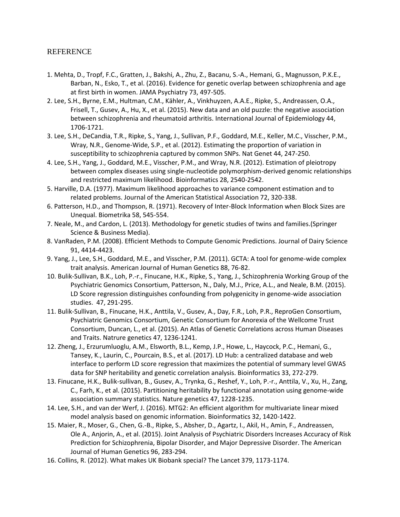## REFERENCE

- 1. Mehta, D., Tropf, F.C., Gratten, J., Bakshi, A., Zhu, Z., Bacanu, S.-A., Hemani, G., Magnusson, P.K.E., Barban, N., Esko, T., et al. (2016). Evidence for genetic overlap between schizophrenia and age at first birth in women. JAMA Psychiatry 73, 497-505.
- 2. Lee, S.H., Byrne, E.M., Hultman, C.M., Kähler, A., Vinkhuyzen, A.A.E., Ripke, S., Andreassen, O.A., Frisell, T., Gusev, A., Hu, X., et al. (2015). New data and an old puzzle: the negative association between schizophrenia and rheumatoid arthritis. International Journal of Epidemiology 44, 1706-1721.
- 3. Lee, S.H., DeCandia, T.R., Ripke, S., Yang, J., Sullivan, P.F., Goddard, M.E., Keller, M.C., Visscher, P.M., Wray, N.R., Genome-Wide, S.P., et al. (2012). Estimating the proportion of variation in susceptibility to schizophrenia captured by common SNPs. Nat Genet 44, 247-250.
- 4. Lee, S.H., Yang, J., Goddard, M.E., Visscher, P.M., and Wray, N.R. (2012). Estimation of pleiotropy between complex diseases using single-nucleotide polymorphism-derived genomic relationships and restricted maximum likelihood. Bioinformatics 28, 2540-2542.
- 5. Harville, D.A. (1977). Maximum likelihood approaches to variance component estimation and to related problems. Journal of the American Statistical Association 72, 320-338.
- 6. Patterson, H.D., and Thompson, R. (1971). Recovery of Inter-Block Information when Block Sizes are Unequal. Biometrika 58, 545-554.
- 7. Neale, M., and Cardon, L. (2013). Methodology for genetic studies of twins and families.(Springer Science & Business Media).
- 8. VanRaden, P.M. (2008). Efficient Methods to Compute Genomic Predictions. Journal of Dairy Science 91, 4414-4423.
- 9. Yang, J., Lee, S.H., Goddard, M.E., and Visscher, P.M. (2011). GCTA: A tool for genome-wide complex trait analysis. American Journal of Human Genetics 88, 76-82.
- 10. Bulik-Sullivan, B.K., Loh, P.-r., Finucane, H.K., Ripke, S., Yang, J., Schizophrenia Working Group of the Psychiatric Genomics Consortium, Patterson, N., Daly, M.J., Price, A.L., and Neale, B.M. (2015). LD Score regression distinguishes confounding from polygenicity in genome-wide association studies. 47, 291-295.
- 11. Bulik-Sullivan, B., Finucane, H.K., Anttila, V., Gusev, A., Day, F.R., Loh, P.R., ReproGen Consortium, Psychiatric Genomics Consortium, Genetic Consortium for Anorexia of the Wellcome Trust Consortium, Duncan, L., et al. (2015). An Atlas of Genetic Correlations across Human Diseases and Traits. Natrure genetics 47, 1236-1241.
- 12. Zheng, J., Erzurumluoglu, A.M., Elsworth, B.L., Kemp, J.P., Howe, L., Haycock, P.C., Hemani, G., Tansey, K., Laurin, C., Pourcain, B.S., et al. (2017). LD Hub: a centralized database and web interface to perform LD score regression that maximizes the potential of summary level GWAS data for SNP heritability and genetic correlation analysis. Bioinformatics 33, 272-279.
- 13. Finucane, H.K., Bulik-sullivan, B., Gusev, A., Trynka, G., Reshef, Y., Loh, P.-r., Anttila, V., Xu, H., Zang, C., Farh, K., et al. (2015). Partitioning heritability by functional annotation using genome-wide association summary statistics. Nature genetics 47, 1228-1235.
- 14. Lee, S.H., and van der Werf, J. (2016). MTG2: An efficient algorithm for multivariate linear mixed model analysis based on genomic information. Bioinformatics 32, 1420-1422.
- 15. Maier, R., Moser, G., Chen, G.-B., Ripke, S., Absher, D., Agartz, I., Akil, H., Amin, F., Andreassen, Ole A., Anjorin, A., et al. (2015). Joint Analysis of Psychiatric Disorders Increases Accuracy of Risk Prediction for Schizophrenia, Bipolar Disorder, and Major Depressive Disorder. The American Journal of Human Genetics 96, 283-294.
- 16. Collins, R. (2012). What makes UK Biobank special? The Lancet 379, 1173-1174.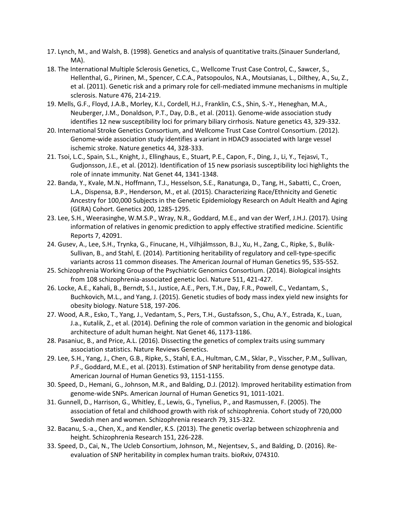- 17. Lynch, M., and Walsh, B. (1998). Genetics and analysis of quantitative traits.(Sinauer Sunderland, MA).
- 18. The International Multiple Sclerosis Genetics, C., Wellcome Trust Case Control, C., Sawcer, S., Hellenthal, G., Pirinen, M., Spencer, C.C.A., Patsopoulos, N.A., Moutsianas, L., Dilthey, A., Su, Z., et al. (2011). Genetic risk and a primary role for cell-mediated immune mechanisms in multiple sclerosis. Nature 476, 214-219.
- 19. Mells, G.F., Floyd, J.A.B., Morley, K.I., Cordell, H.J., Franklin, C.S., Shin, S.-Y., Heneghan, M.A., Neuberger, J.M., Donaldson, P.T., Day, D.B., et al. (2011). Genome-wide association study identifies 12 new susceptibility loci for primary biliary cirrhosis. Nature genetics 43, 329-332.
- 20. International Stroke Genetics Consortium, and Wellcome Trust Case Control Consortium. (2012). Genome-wide association study identifies a variant in HDAC9 associated with large vessel ischemic stroke. Nature genetics 44, 328-333.
- 21. Tsoi, L.C., Spain, S.L., Knight, J., Ellinghaus, E., Stuart, P.E., Capon, F., Ding, J., Li, Y., Tejasvi, T., Gudjonsson, J.E., et al. (2012). Identification of 15 new psoriasis susceptibility loci highlights the role of innate immunity. Nat Genet 44, 1341-1348.
- 22. Banda, Y., Kvale, M.N., Hoffmann, T.J., Hesselson, S.E., Ranatunga, D., Tang, H., Sabatti, C., Croen, L.A., Dispensa, B.P., Henderson, M., et al. (2015). Characterizing Race/Ethnicity and Genetic Ancestry for 100,000 Subjects in the Genetic Epidemiology Research on Adult Health and Aging (GERA) Cohort. Genetics 200, 1285-1295.
- 23. Lee, S.H., Weerasinghe, W.M.S.P., Wray, N.R., Goddard, M.E., and van der Werf, J.H.J. (2017). Using information of relatives in genomic prediction to apply effective stratified medicine. Scientific Reports 7, 42091.
- 24. Gusev, A., Lee, S.H., Trynka, G., Finucane, H., Vilhjálmsson, B.J., Xu, H., Zang, C., Ripke, S., Bulik-Sullivan, B., and Stahl, E. (2014). Partitioning heritability of regulatory and cell-type-specific variants across 11 common diseases. The American Journal of Human Genetics 95, 535-552.
- 25. Schizophrenia Working Group of the Psychiatric Genomics Consortium. (2014). Biological insights from 108 schizophrenia-associated genetic loci. Nature 511, 421-427.
- 26. Locke, A.E., Kahali, B., Berndt, S.I., Justice, A.E., Pers, T.H., Day, F.R., Powell, C., Vedantam, S., Buchkovich, M.L., and Yang, J. (2015). Genetic studies of body mass index yield new insights for obesity biology. Nature 518, 197-206.
- 27. Wood, A.R., Esko, T., Yang, J., Vedantam, S., Pers, T.H., Gustafsson, S., Chu, A.Y., Estrada, K., Luan, J.a., Kutalik, Z., et al. (2014). Defining the role of common variation in the genomic and biological architecture of adult human height. Nat Genet 46, 1173-1186.
- 28. Pasaniuc, B., and Price, A.L. (2016). Dissecting the genetics of complex traits using summary association statistics. Nature Reviews Genetics.
- 29. Lee, S.H., Yang, J., Chen, G.B., Ripke, S., Stahl, E.A., Hultman, C.M., Sklar, P., Visscher, P.M., Sullivan, P.F., Goddard, M.E., et al. (2013). Estimation of SNP heritability from dense genotype data. American Journal of Human Genetics 93, 1151-1155.
- 30. Speed, D., Hemani, G., Johnson, M.R., and Balding, D.J. (2012). Improved heritability estimation from genome-wide SNPs. American Journal of Human Genetics 91, 1011-1021.
- 31. Gunnell, D., Harrison, G., Whitley, E., Lewis, G., Tynelius, P., and Rasmussen, F. (2005). The association of fetal and childhood growth with risk of schizophrenia. Cohort study of 720,000 Swedish men and women. Schizophrenia research 79, 315-322.
- 32. Bacanu, S.-a., Chen, X., and Kendler, K.S. (2013). The genetic overlap between schizophrenia and height. Schizophrenia Research 151, 226-228.
- 33. Speed, D., Cai, N., The Ucleb Consortium, Johnson, M., Nejentsev, S., and Balding, D. (2016). Reevaluation of SNP heritability in complex human traits. bioRxiv, 074310.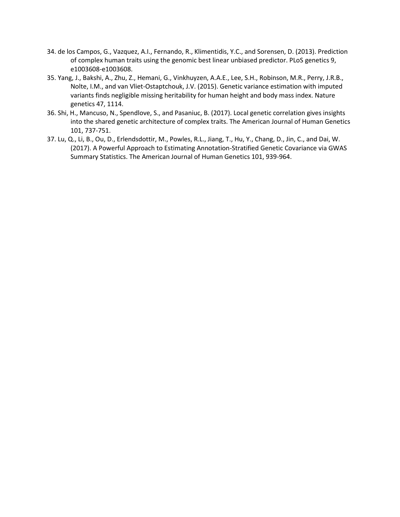- 34. de los Campos, G., Vazquez, A.I., Fernando, R., Klimentidis, Y.C., and Sorensen, D. (2013). Prediction of complex human traits using the genomic best linear unbiased predictor. PLoS genetics 9, e1003608-e1003608.
- 35. Yang, J., Bakshi, A., Zhu, Z., Hemani, G., Vinkhuyzen, A.A.E., Lee, S.H., Robinson, M.R., Perry, J.R.B., Nolte, I.M., and van Vliet-Ostaptchouk, J.V. (2015). Genetic variance estimation with imputed variants finds negligible missing heritability for human height and body mass index. Nature genetics 47, 1114.
- 36. Shi, H., Mancuso, N., Spendlove, S., and Pasaniuc, B. (2017). Local genetic correlation gives insights into the shared genetic architecture of complex traits. The American Journal of Human Genetics 101, 737-751.
- 37. Lu, Q., Li, B., Ou, D., Erlendsdottir, M., Powles, R.L., Jiang, T., Hu, Y., Chang, D., Jin, C., and Dai, W. (2017). A Powerful Approach to Estimating Annotation-Stratified Genetic Covariance via GWAS Summary Statistics. The American Journal of Human Genetics 101, 939-964.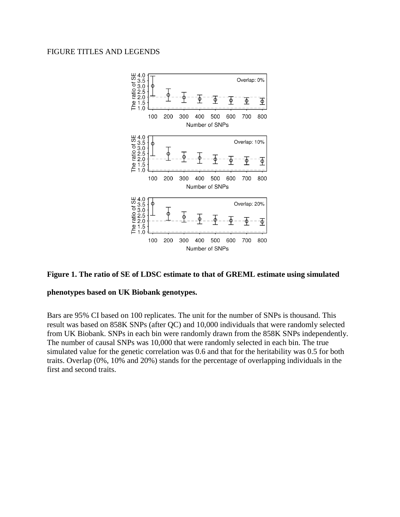# FIGURE TITLES AND LEGENDS



#### **Figure 1. The ratio of SE of LDSC estimate to that of GREML estimate using simulated**

#### **phenotypes based on UK Biobank genotypes.**

Bars are 95% CI based on 100 replicates. The unit for the number of SNPs is thousand. This result was based on 858K SNPs (after QC) and 10,000 individuals that were randomly selected from UK Biobank. SNPs in each bin were randomly drawn from the 858K SNPs independently. The number of causal SNPs was 10,000 that were randomly selected in each bin. The true simulated value for the genetic correlation was 0.6 and that for the heritability was 0.5 for both traits. Overlap (0%, 10% and 20%) stands for the percentage of overlapping individuals in the first and second traits.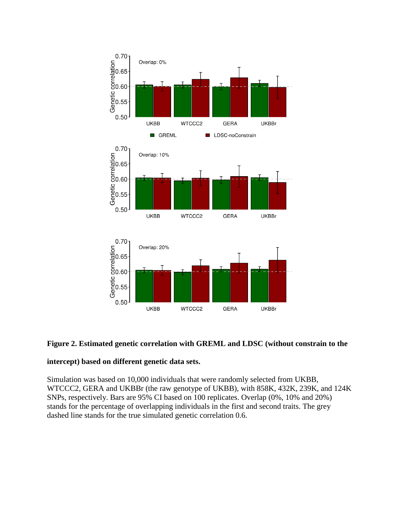



# **intercept) based on different genetic data sets.**

Simulation was based on 10,000 individuals that were randomly selected from UKBB, WTCCC2, GERA and UKBBr (the raw genotype of UKBB), with 858K, 432K, 239K, and 124K SNPs, respectively. Bars are 95% CI based on 100 replicates. Overlap (0%, 10% and 20%) stands for the percentage of overlapping individuals in the first and second traits. The grey dashed line stands for the true simulated genetic correlation 0.6.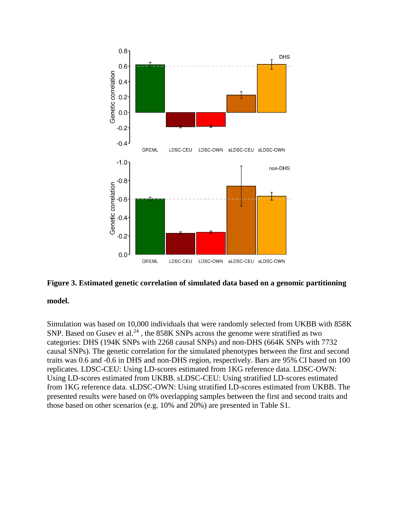

#### **Figure 3. Estimated genetic correlation of simulated data based on a genomic partitioning**

#### **model.**

Simulation was based on 10,000 individuals that were randomly selected from UKBB with 858K SNP. Based on Gusev et al.<sup>24</sup>, the 858K SNPs across the genome were stratified as two categories: DHS (194K SNPs with 2268 causal SNPs) and non-DHS (664K SNPs with 7732 causal SNPs). The genetic correlation for the simulated phenotypes between the first and second traits was 0.6 and -0.6 in DHS and non-DHS region, respectively. Bars are 95% CI based on 100 replicates. LDSC-CEU: Using LD-scores estimated from 1KG reference data. LDSC-OWN: Using LD-scores estimated from UKBB. sLDSC-CEU: Using stratified LD-scores estimated from 1KG reference data. sLDSC-OWN: Using stratified LD-scores estimated from UKBB. The presented results were based on 0% overlapping samples between the first and second traits and those based on other scenarios (e.g. 10% and 20%) are presented in Table S1.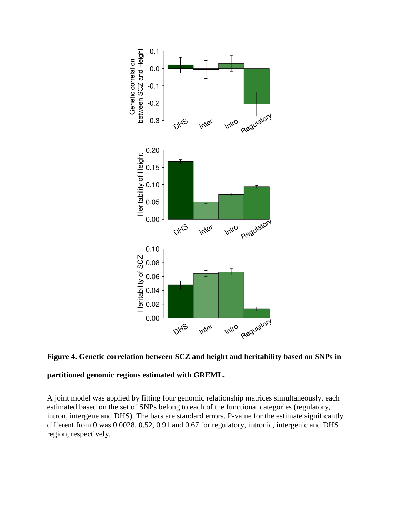

# **Figure 4. Genetic correlation between SCZ and height and heritability based on SNPs in**

# **partitioned genomic regions estimated with GREML.**

A joint model was applied by fitting four genomic relationship matrices simultaneously, each estimated based on the set of SNPs belong to each of the functional categories (regulatory, intron, intergene and DHS). The bars are standard errors. P-value for the estimate significantly different from 0 was 0.0028, 0.52, 0.91 and 0.67 for regulatory, intronic, intergenic and DHS region, respectively.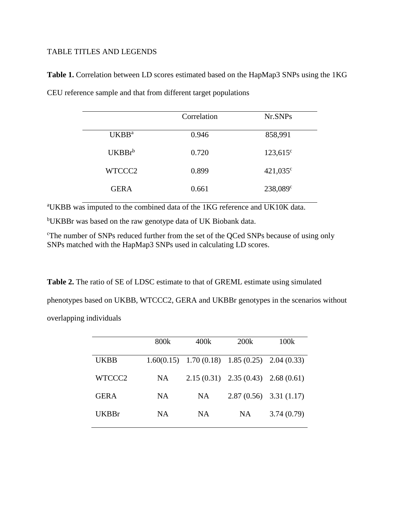# TABLE TITLES AND LEGENDS

# **Table 1.** Correlation between LD scores estimated based on the HapMap3 SNPs using the 1KG

|                    | Correlation | Nr.SNPs           |
|--------------------|-------------|-------------------|
| UKBB <sup>a</sup>  | 0.946       | 858,991           |
| UKBBr <sup>b</sup> | 0.720       | $123,615^{\circ}$ |
| WTCCC2             | 0.899       | $421,035^{\circ}$ |
| <b>GERA</b>        | 0.661       | 238,089°          |

CEU reference sample and that from different target populations

<sup>a</sup>UKBB was imputed to the combined data of the 1KG reference and UK10K data.

bUKBBr was based on the raw genotype data of UK Biobank data.

<sup>c</sup>The number of SNPs reduced further from the set of the QCed SNPs because of using only SNPs matched with the HapMap3 SNPs used in calculating LD scores.

**Table 2.** The ratio of SE of LDSC estimate to that of GREML estimate using simulated

phenotypes based on UKBB, WTCCC2, GERA and UKBBr genotypes in the scenarios without

overlapping individuals

|              | 800k | 400k                                                | 200k                                   | 100k       |
|--------------|------|-----------------------------------------------------|----------------------------------------|------------|
| <b>UKBB</b>  |      | $1.60(0.15)$ $1.70(0.18)$ $1.85(0.25)$ $2.04(0.33)$ |                                        |            |
| WTCCC2       | NA.  |                                                     | $2.15(0.31)$ $2.35(0.43)$ $2.68(0.61)$ |            |
| <b>GERA</b>  | NA   | <b>NA</b>                                           | $2.87(0.56)$ $3.31(1.17)$              |            |
| <b>UKBBr</b> | NA.  | NA.                                                 | NA.                                    | 3.74(0.79) |